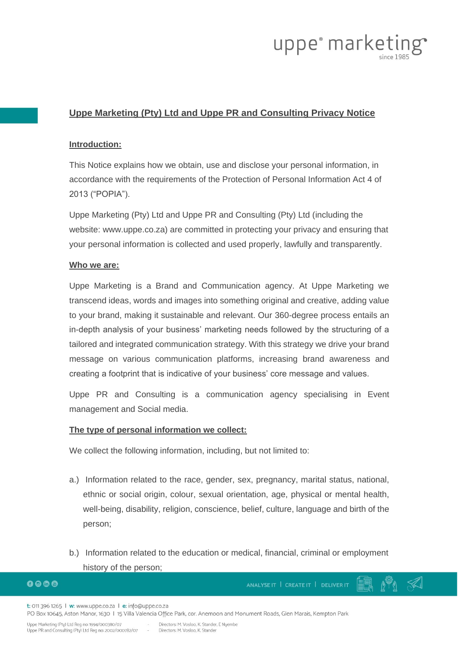

# **Uppe Marketing (Pty) Ltd and Uppe PR and Consulting Privacy Notice**

#### **Introduction:**

This Notice explains how we obtain, use and disclose your personal information, in accordance with the requirements of the Protection of Personal Information Act 4 of 2013 ("POPIA").

Uppe Marketing (Pty) Ltd and Uppe PR and Consulting (Pty) Ltd (including the website: www.uppe.co.za) are committed in protecting your privacy and ensuring that your personal information is collected and used properly, lawfully and transparently.

#### **Who we are:**

Uppe Marketing is a Brand and Communication agency. At Uppe Marketing we transcend ideas, words and images into something original and creative, adding value to your brand, making it sustainable and relevant. Our 360-degree process entails an in-depth analysis of your business' marketing needs followed by the structuring of a tailored and integrated communication strategy. With this strategy we drive your brand message on various communication platforms, increasing brand awareness and creating a footprint that is indicative of your business' core message and values.

Uppe PR and Consulting is a communication agency specialising in Event management and Social media.

#### **The type of personal information we collect:**

We collect the following information, including, but not limited to:

- a.) Information related to the race, gender, sex, pregnancy, marital status, national, ethnic or social origin, colour, sexual orientation, age, physical or mental health, well-being, disability, religion, conscience, belief, culture, language and birth of the person;
- b.) Information related to the education or medical, financial, criminal or employment history of the person;

 $0<sub>0<sub>0</sub></sub>$ 

ANALYSE IT | CREATE IT | DELIVER IT

t: 011 396 1265 | w: www.uppe.co.za | e: info@uppe.co.za

PO Box 10645, Aston Manor, 1630 | 15 Villa Valencia Office Park, cor. Anemoon and Monument Roads, Glen Marais, Kempton Park

o del

Uppe Marketing (Pty) Ltd Reg no: 1994/000380/07 Uppe PR and Consulting (Pty) Ltd Reg no: 2002/000782/07

Directors: M. Vosloo, K. Stander, E. Nyember Directors: M. Vosloo, K. Stander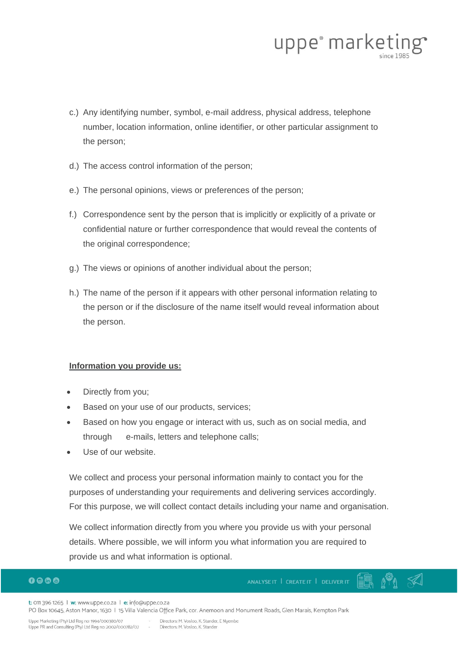

- c.) Any identifying number, symbol, e-mail address, physical address, telephone number, location information, online identifier, or other particular assignment to the person;
- d.) The access control information of the person;
- e.) The personal opinions, views or preferences of the person;
- f.) Correspondence sent by the person that is implicitly or explicitly of a private or confidential nature or further correspondence that would reveal the contents of the original correspondence;
- g.) The views or opinions of another individual about the person;
- h.) The name of the person if it appears with other personal information relating to the person or if the disclosure of the name itself would reveal information about the person.

# **Information you provide us:**

- Directly from you;
- Based on your use of our products, services;
- Based on how you engage or interact with us, such as on social media, and through e-mails, letters and telephone calls;
- Use of our website.

We collect and process your personal information mainly to contact you for the purposes of understanding your requirements and delivering services accordingly. For this purpose, we will collect contact details including your name and organisation.

We collect information directly from you where you provide us with your personal details. Where possible, we will inform you what information you are required to provide us and what information is optional.

# $0<sub>0</sub>$

ANALYSE IT | CREATE IT | DELIVER IT

t: 011 396 1265 | w: www.uppe.co.za | e: info@uppe.co.za

PO Box 10645, Aston Manor, 1630 | 15 Villa Valencia Office Park, cor. Anemoon and Monument Roads, Glen Marais, Kempton Park

Uppe Marketing (Pty) Ltd Reg no: 1994/000380/07 Uppe PR and Consulting (Pty) Ltd Reg no: 2002/000782/07

Directors: M. Vosloo, K. Stander, E Nyembe Directors: M. Vosloo, K. Stander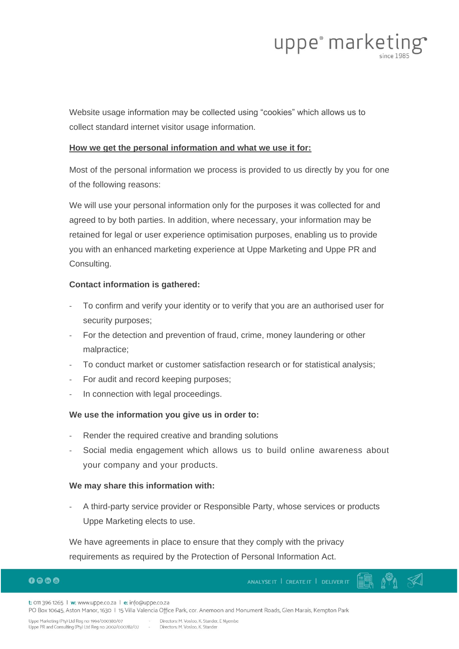

Website usage information may be collected using "cookies" which allows us to collect standard internet visitor usage information.

## **How we get the personal information and what we use it for:**

Most of the personal information we process is provided to us directly by you for one of the following reasons:

We will use your personal information only for the purposes it was collected for and agreed to by both parties. In addition, where necessary, your information may be retained for legal or user experience optimisation purposes, enabling us to provide you with an enhanced marketing experience at Uppe Marketing and Uppe PR and Consulting.

# **Contact information is gathered:**

- To confirm and verify your identity or to verify that you are an authorised user for security purposes;
- For the detection and prevention of fraud, crime, money laundering or other malpractice;
- To conduct market or customer satisfaction research or for statistical analysis;
- For audit and record keeping purposes;
- In connection with legal proceedings.

# **We use the information you give us in order to:**

- Render the required creative and branding solutions
- Social media engagement which allows us to build online awareness about your company and your products.

# **We may share this information with:**

A third-party service provider or Responsible Party, whose services or products Uppe Marketing elects to use.

We have agreements in place to ensure that they comply with the privacy requirements as required by the Protection of Personal Information Act.

# $0<sub>0</sub>$

ANALYSE IT | CREATE IT | DELIVER IT

t: 011 396 1265 | w: www.uppe.co.za | e: info@uppe.co.za

PO Box 10645, Aston Manor, 1630 | 15 Villa Valencia Office Park, cor. Anemoon and Monument Roads, Glen Marais, Kempton Park

Uppe Marketing (Pty) Ltd Reg no: 1994/000380/07 Uppe PR and Consulting (Pty) Ltd Reg no: 2002/000782/07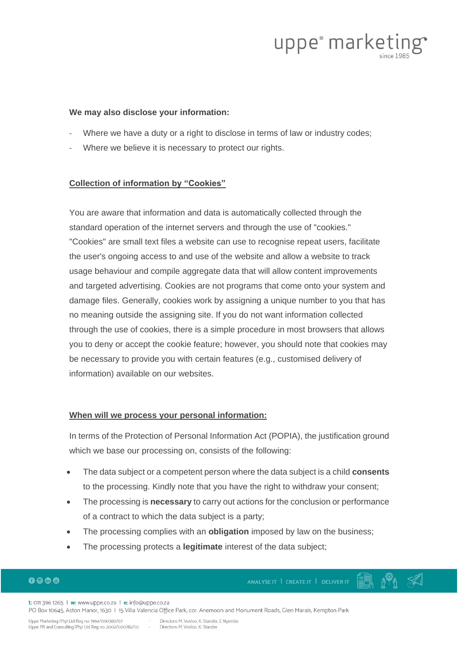

#### **We may also disclose your information:**

- Where we have a duty or a right to disclose in terms of law or industry codes;
- Where we believe it is necessary to protect our rights.

#### **Collection of information by "Cookies"**

You are aware that information and data is automatically collected through the standard operation of the internet servers and through the use of "cookies." "Cookies" are small text files a website can use to recognise repeat users, facilitate the user's ongoing access to and use of the website and allow a website to track usage behaviour and compile aggregate data that will allow content improvements and targeted advertising. Cookies are not programs that come onto your system and damage files. Generally, cookies work by assigning a unique number to you that has no meaning outside the assigning site. If you do not want information collected through the use of cookies, there is a simple procedure in most browsers that allows you to deny or accept the cookie feature; however, you should note that cookies may be necessary to provide you with certain features (e.g., customised delivery of information) available on our websites.

#### **When will we process your personal information:**

In terms of the Protection of Personal Information Act (POPIA), the justification ground which we base our processing on, consists of the following:

- The data subject or a competent person where the data subject is a child **consents** to the processing. Kindly note that you have the right to withdraw your consent;
- The processing is **necessary** to carry out actions for the conclusion or performance of a contract to which the data subject is a party;
- The processing complies with an **obligation** imposed by law on the business;
- The processing protects a **legitimate** interest of the data subject;

# $0<sub>0</sub>$

ANALYSE IT | CREATE IT | DELIVER IT

t: 011 396 1265 | w: www.uppe.co.za | e: info@uppe.co.za PO Box 10645, Aston Manor, 1630 | 15 Villa Valencia Office Park, cor. Anemoon and Monument Roads, Glen Marais, Kempton Park

Uppe Marketing (Pty) Ltd Reg no: 1994/000380/07 Uppe PR and Consulting (Pty) Ltd Reg no: 2002/000782/07 Directors: M. Vosloo, K. Stander, E Nyembe

Directors: M. Vosloo, K. Stander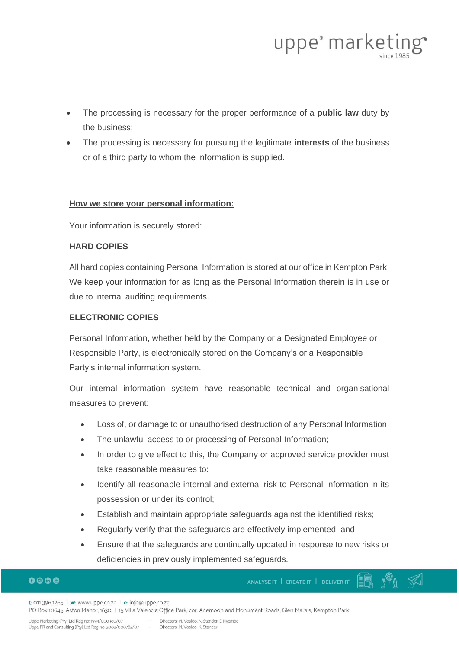

- The processing is necessary for the proper performance of a **public law** duty by the business;
- The processing is necessary for pursuing the legitimate **interests** of the business or of a third party to whom the information is supplied.

## **How we store your personal information:**

Your information is securely stored:

## **HARD COPIES**

All hard copies containing Personal Information is stored at our office in Kempton Park. We keep your information for as long as the Personal Information therein is in use or due to internal auditing requirements.

# **ELECTRONIC COPIES**

Personal Information, whether held by the Company or a Designated Employee or Responsible Party, is electronically stored on the Company's or a Responsible Party's internal information system.

Our internal information system have reasonable technical and organisational measures to prevent:

- Loss of, or damage to or unauthorised destruction of any Personal Information;
- The unlawful access to or processing of Personal Information;
- In order to give effect to this, the Company or approved service provider must take reasonable measures to:
- Identify all reasonable internal and external risk to Personal Information in its possession or under its control;
- Establish and maintain appropriate safeguards against the identified risks;
- Regularly verify that the safeguards are effectively implemented; and
- Ensure that the safeguards are continually updated in response to new risks or deficiencies in previously implemented safeguards.

# $0<sub>0</sub>0<sub>0</sub>$

ANALYSE IT | CREATE IT | DELIVER IT

t: 011 396 1265 | w: www.uppe.co.za | e: info@uppe.co.za

PO Box 10645, Aston Manor, 1630 | 15 Villa Valencia Office Park, cor. Anemoon and Monument Roads, Glen Marais, Kempton Park

Uppe Marketing (Pty) Ltd Reg no: 1994/000380/07 Uppe PR and Consulting (Pty) Ltd Reg no: 2002/000782/07

Directors: M. Vosloo, K. Stander, E Nyembe Directors: M. Vosloo, K. Stander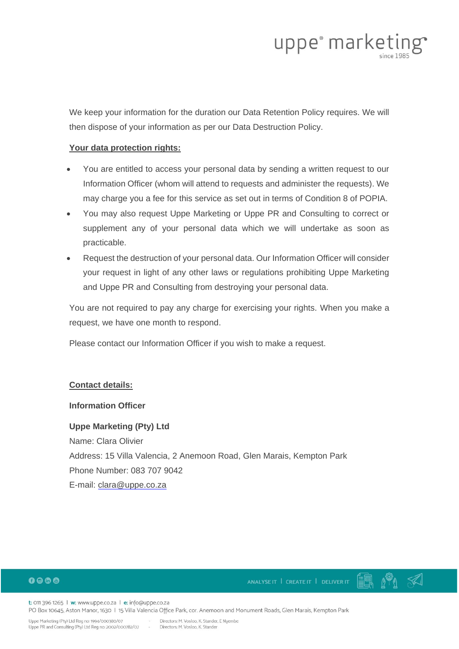

We keep your information for the duration our Data Retention Policy requires. We will then dispose of your information as per our Data Destruction Policy.

## **Your data protection rights:**

- You are entitled to access your personal data by sending a written request to our Information Officer (whom will attend to requests and administer the requests). We may charge you a fee for this service as set out in terms of Condition 8 of POPIA.
- You may also request Uppe Marketing or Uppe PR and Consulting to correct or supplement any of your personal data which we will undertake as soon as practicable.
- Request the destruction of your personal data. Our Information Officer will consider your request in light of any other laws or regulations prohibiting Uppe Marketing and Uppe PR and Consulting from destroying your personal data.

You are not required to pay any charge for exercising your rights. When you make a request, we have one month to respond.

Please contact our Information Officer if you wish to make a request.

# **Contact details:**

#### **Information Officer**

**Uppe Marketing (Pty) Ltd**

Name: Clara Olivier Address: 15 Villa Valencia, 2 Anemoon Road, Glen Marais, Kempton Park Phone Number: 083 707 9042 E-mail: [clara@uppe.co.za](mailto:clara@uppe.co.za)

# $0<sub>0</sub>0<sub>0</sub>$

 $\mathbb{R}^{\mathbb{Q}}$   $\ll$ ANALYSE IT | CREATE IT | DELIVER IT

t: 011 396 1265 | w: www.uppe.co.za | e: info@uppe.co.za PO Box 10645, Aston Manor, 1630 | 15 Villa Valencia Office Park, cor. Anemoon and Monument Roads, Glen Marais, Kempton Park

Uppe Marketing (Pty) Ltd Reg no: 1994/000380/07 Uppe PR and Consulting (Pty) Ltd Reg no: 2002/000782/07

Directors: M. Vosloo, K. Stander, E Nyembe Directors: M. Vosloo, K. Stander